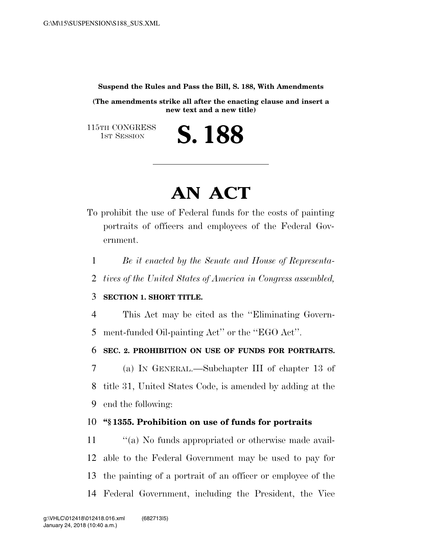**Suspend the Rules and Pass the Bill, S. 188, With Amendments** 

**(The amendments strike all after the enacting clause and insert a new text and a new title)** 

S. 188

115TH CONGRESS<br>1st Session

## **AN ACT**

- To prohibit the use of Federal funds for the costs of painting portraits of officers and employees of the Federal Government.
	- 1 *Be it enacted by the Senate and House of Representa-*
	- 2 *tives of the United States of America in Congress assembled,*

## 3 **SECTION 1. SHORT TITLE.**

4 This Act may be cited as the ''Eliminating Govern-5 ment-funded Oil-painting Act'' or the ''EGO Act''.

6 **SEC. 2. PROHIBITION ON USE OF FUNDS FOR PORTRAITS.** 

7 (a) IN GENERAL.—Subchapter III of chapter 13 of 8 title 31, United States Code, is amended by adding at the 9 end the following:

## 10 **''§ 1355. Prohibition on use of funds for portraits**

 $\gamma$  (a) No funds appropriated or otherwise made avail- able to the Federal Government may be used to pay for the painting of a portrait of an officer or employee of the Federal Government, including the President, the Vice